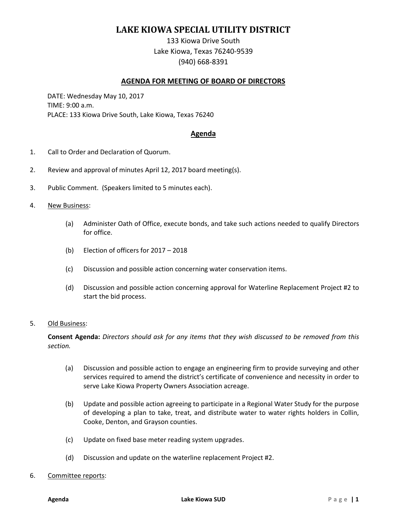# **LAKE KIOWA SPECIAL UTILITY DISTRICT**

133 Kiowa Drive South Lake Kiowa, Texas 76240-9539 (940) 668-8391

## **AGENDA FOR MEETING OF BOARD OF DIRECTORS**

DATE: Wednesday May 10, 2017 TIME: 9:00 a.m. PLACE: 133 Kiowa Drive South, Lake Kiowa, Texas 76240

### **Agenda**

- 1. Call to Order and Declaration of Quorum.
- 2. Review and approval of minutes April 12, 2017 board meeting(s).
- 3. Public Comment. (Speakers limited to 5 minutes each).
- 4. New Business:
	- (a) Administer Oath of Office, execute bonds, and take such actions needed to qualify Directors for office.
	- (b) Election of officers for 2017 2018
	- (c) Discussion and possible action concerning water conservation items.
	- (d) Discussion and possible action concerning approval for Waterline Replacement Project #2 to start the bid process.

#### 5. Old Business:

**Consent Agenda:** *Directors should ask for any items that they wish discussed to be removed from this section.*

- (a) Discussion and possible action to engage an engineering firm to provide surveying and other services required to amend the district's certificate of convenience and necessity in order to serve Lake Kiowa Property Owners Association acreage.
- (b) Update and possible action agreeing to participate in a Regional Water Study for the purpose of developing a plan to take, treat, and distribute water to water rights holders in Collin, Cooke, Denton, and Grayson counties.
- (c) Update on fixed base meter reading system upgrades.
- (d) Discussion and update on the waterline replacement Project #2.

#### 6. Committee reports: